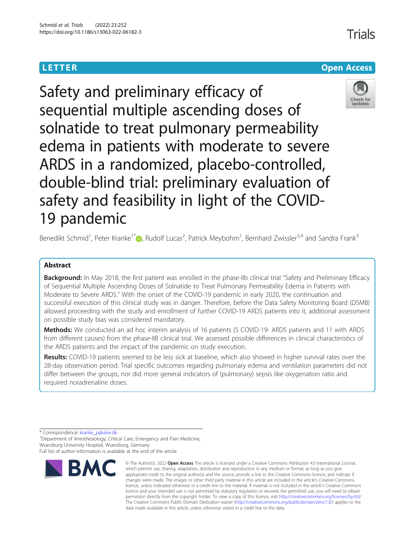

Trials

Safety and preliminary efficacy of sequential multiple ascending doses of solnatide to treat pulmonary permeability edema in patients with moderate to severe ARDS in a randomized, placebo-controlled, double-blind trial: preliminary evaluation of safety and feasibility in light of the COVID-19 pandemic

Benedikt Schmid<sup>1</sup>[,](http://orcid.org/0000-0001-5324-981X) Peter Kranke<sup>1\*</sup> D, Rudolf Lucas<sup>2</sup>, Patrick Meybohm<sup>1</sup>, Bernhard Zwissler<sup>3,4</sup> and Sandra Frank<sup>3</sup>

# **Abstract**

Background: In May 2018, the first patient was enrolled in the phase-IIb clinical trial "Safety and Preliminary Efficacy of Sequential Multiple Ascending Doses of Solnatide to Treat Pulmonary Permeability Edema in Patients with Moderate to Severe ARDS." With the onset of the COVID-19 pandemic in early 2020, the continuation and successful execution of this clinical study was in danger. Therefore, before the Data Safety Monitoring Board (DSMB) allowed proceeding with the study and enrollment of further COVID-19 ARDS patients into it, additional assessment on possible study bias was considered mandatory.

Methods: We conducted an ad hoc interim analysis of 16 patients (5 COVID-19- ARDS patients and 11 with ARDS from different causes) from the phase-IIB clinical trial. We assessed possible differences in clinical characteristics of the ARDS patients and the impact of the pandemic on study execution.

Results: COVID-19 patients seemed to be less sick at baseline, which also showed in higher survival rates over the 28-day observation period. Trial specific outcomes regarding pulmonary edema and ventilation parameters did not differ between the groups, nor did more general indicators of (pulmonary) sepsis like oxygenation ratio and required noradrenaline doses.

\* Correspondence: [kranke\\_p@ukw.de](mailto:kranke_p@ukw.de) <sup>1</sup>

<sup>1</sup>Department of Anesthesiology, Critical Care, Emergency and Pain Medicine, Wuerzburg University Hospital, Wuerzburg, Germany Full list of author information is available at the end of the article



<sup>©</sup> The Author(s), 2022 **Open Access** This article is licensed under a Creative Commons Attribution 4.0 International License, which permits use, sharing, adaptation, distribution and reproduction in any medium or format, as long as you give appropriate credit to the original author(s) and the source, provide a link to the Creative Commons licence, and indicate if changes were made. The images or other third party material in this article are included in the article's Creative Commons licence, unless indicated otherwise in a credit line to the material. If material is not included in the article's Creative Commons licence and your intended use is not permitted by statutory regulation or exceeds the permitted use, you will need to obtain permission directly from the copyright holder. To view a copy of this licence, visit [http://creativecommons.org/licenses/by/4.0/.](http://creativecommons.org/licenses/by/4.0/) The Creative Commons Public Domain Dedication waiver [\(http://creativecommons.org/publicdomain/zero/1.0/](http://creativecommons.org/publicdomain/zero/1.0/)) applies to the data made available in this article, unless otherwise stated in a credit line to the data.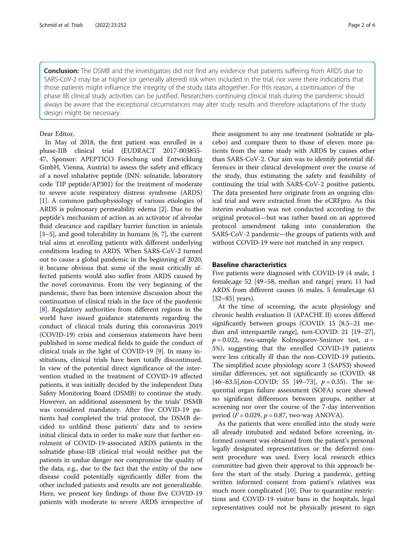Conclusion: The DSMB and the investigators did not find any evidence that patients suffering from ARDS due to SARS-CoV-2 may be at higher (or generally altered) risk when included in the trial, nor were there indications that those patients might influence the integrity of the study data altogether. For this reason, a continuation of the phase IIB clinical study activities can be justified. Researchers continuing clinical trials during the pandemic should always be aware that the exceptional circumstances may alter study results and therefore adaptations of the study design might be necessary.

## Dear Editor,

In May of 2018, the first patient was enrolled in a phase-IIB clinical trial (EUDRACT 2017-003855- 47, Sponsor: APEPTICO Forschung und Entwicklung GmbH, Vienna, Austria) to assess the safety and efficacy of a novel inhalative peptide (INN: solnatide, laboratory code TIP peptide/AP301) for the treatment of moderate to severe acute respiratory distress syndrome (ARDS) [[1\]](#page-4-0). A common pathophysiology of various etiologies of ARDS is pulmonary permeability edema [\[2](#page-4-0)]. Due to the peptide's mechanism of action as an activator of alveolar fluid clearance and capillary barrier function in animals [[3](#page-4-0)–[5\]](#page-4-0), and good tolerability in humans [\[6](#page-4-0), [7](#page-4-0)], the current trial aims at enrolling patients with different underlying conditions leading to ARDS. When SARS-CoV-2 turned out to cause a global pandemic in the beginning of 2020, it became obvious that some of the most critically affected patients would also suffer from ARDS caused by the novel coronavirus. From the very beginning of the pandemic, there has been intensive discussion about the continuation of clinical trials in the face of the pandemic [[8\]](#page-4-0). Regulatory authorities from different regions in the world have issued guidance statements regarding the conduct of clinical trials during this coronavirus 2019 (COVID-19) crisis and consensus statements have been published in some medical fields to guide the conduct of clinical trials in the light of COVID-19 [[9\]](#page-4-0). In many institutions, clinical trials have been totally discontinued. In view of the potential direct significance of the intervention studied in the treatment of COVID-19 affected patients, it was initially decided by the independent Data Safety Monitoring Board (DSMB) to continue the study. However, an additional assessment by the trials' DSMB was considered mandatory. After five COVID-19 patients had completed the trial protocol, the DSMB decided to unblind those patients' data and to review initial clinical data in order to make sure that further enrolment of COVID-19-associated ARDS patients in the solnatide phase-IIB clinical trial would neither put the patients in undue danger nor compromise the quality of the data, e.g., due to the fact that the entity of the new disease could potentially significantly differ from the other included patients and results are not generalizable. Here, we present key findings of those five COVID-19 patients with moderate to severe ARDS irrespective of their assignment to any one treatment (solnatide or placebo) and compare them to those of eleven more patients from the same study with ARDS by causes other than SARS-CoV-2. Our aim was to identify potential differences in their clinical development over the course of the study, thus estimating the safety and feasibility of continuing the trial with SARS-CoV-2 positive patients. The data presented here originate from an ongoing clinical trial and were extracted from the eCRFpro. As this interim evaluation was not conducted according to the original protocol—but was rather based on an approved protocol amendment taking into consideration the SARS-CoV-2 pandemic—the groups of patients with and without COVID-19 were not matched in any respect.

## **Baseline characteristics**

Five patients were diagnosed with COVID-19 (4 male, 1 female,age 52 [49–58, median and range] years; 11 had ARDS from different causes (6 males, 5 females,age 61 [32–85] years).

At the time of screening, the acute physiology and chronic health evaluation II (APACHE II) scores differed significantly between groups (COVID: 15 [8.5–21 median and interquartile range], non-COVID: 21 [19–27],  $p = 0.022$ , two-sample Kolmogorov-Smirnov test,  $a =$ 5%), suggesting that the enrolled COVID-19 patients were less critically ill than the non-COVID-19 patients. The simplified acute physiology score 3 (SAPS3) showed similar differences, yet not significantly so (COVID: 48 [46–63.5], non-COVID: 55 [49–73],  $p = 0.35$ ). The sequential organ failure assessment (SOFA) score showed no significant differences between groups, neither at screening nor over the course of the 7-day intervention period ( $F = 0.029$ ,  $p = 0.87$ , two-way ANOVA).

As the patients that were enrolled into the study were all already intubated and sedated before screening, informed consent was obtained from the patient's personal legally designated representatives or the deferred consent procedure was used. Every local research ethics committee had given their approval to this approach before the start of the study. During a pandemic, getting written informed consent from patient's relatives was much more complicated [[10\]](#page-4-0). Due to quarantine restrictions and COVID-19 visitor bans in the hospitals, legal representatives could not be physically present to sign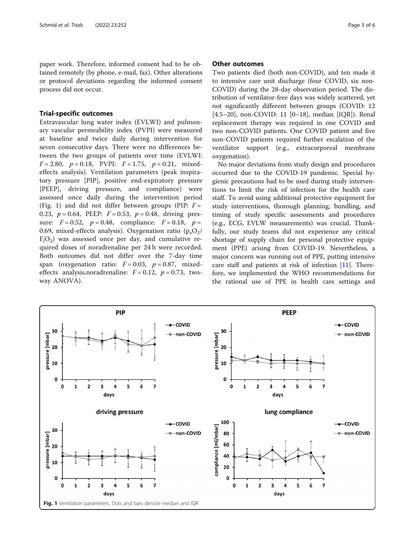paper work. Therefore, informed consent had to be obtained remotely (by phone, e-mail, fax). Other alterations or protocol deviations regarding the informed consent process did not occur.

Trial-specific outcomes Extravascular lung water index (EVLWI) and pulmonary vascular permeability index (PVPI) were measured at baseline and twice daily during intervention for seven consecutive days. There were no differences between the two groups of patients over time (EVLWI:  $F = 2.80, p = 0.18, PVPI: F = 1.75, p = 0.21, mixed$ effects analysis). Ventilation parameters (peak inspiratory pressure [PIP], positive end-expiratory pressure [PEEP], driving pressure, and compliance) were assessed once daily during the intervention period (Fig. 1) and did not differ between groups (PIP:  $F =$ 0.23,  $p = 0.64$ , PEEP:  $F = 0.53$ ,  $p = 0.48$ , driving pressure:  $F = 0.52$ ,  $p = 0.48$ , compliance:  $F = 0.18$ ,  $p =$ 0.69, mixed-effects analysis). Oxygenation ratio  $(p_aO_2/$  $F_1O_2$ ) was assessed once per day, and cumulative required doses of noradrenaline per 24 h were recorded. Both outcomes did not differ over the 7-day time span (oxygenation ratio:  $F = 0.03$ ,  $p = 0.87$ , mixedeffects analysis, no radrenaline:  $F = 0.12$ ,  $p = 0.73$ , twoway ANOVA).

## **Other outcomes**

Two patients died (both non-COVID), and ten made it to intensive care unit discharge (four COVID, six non-COVID) during the 28-day observation period. The distribution of ventilator-free days was widely scattered, yet not significantly different between groups (COVID: 12 [4.5–20], non-COVID: 11 [0–18], median [IQR]). Renal replacement therapy was required in one COVID and two non-COVID patients. One COVID patient and five non-COVID patients required further escalation of the ventilator support (e.g., extracorporeal membrane oxygenation).

No major deviations from study design and procedures occurred due to the COVID-19 pandemic. Special hygienic precautions had to be used during study interventions to limit the risk of infection for the health care staff. To avoid using additional protective equipment for study interventions, thorough planning, bundling, and timing of study specific assessments and procedures (e.g., ECG, EVLW measurements) was crucial. Thankfully, our study teams did not experience any critical shortage of supply chain for personal protective equipment (PPE) arising from COVID-19. Nevertheless, a major concern was running out of PPE, putting intensive care staff and patients at risk of infection [\[11\]](#page-4-0). Therefore, we implemented the WHO recommendations for the rational use of PPE in health care settings and

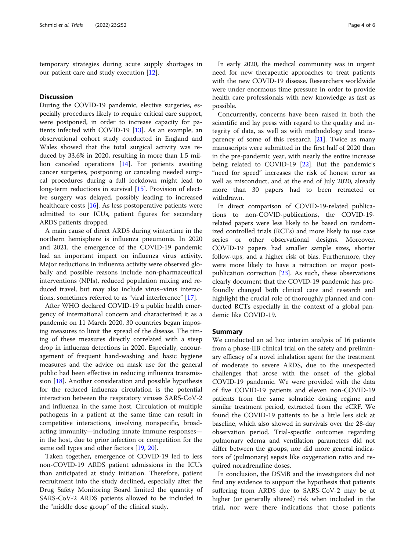temporary strategies during acute supply shortages in our patient care and study execution [\[12](#page-4-0)].

## **Discussion**

Discussion During the COVID-19 pandemic, elective surgeries, especially procedures likely to require critical care support, were postponed, in order to increase capacity for patients infected with COVID-19 [\[13](#page-4-0)]. As an example, an observational cohort study conducted in England and Wales showed that the total surgical activity was reduced by 33.6% in 2020, resulting in more than 1.5 million canceled operations [\[14](#page-4-0)]. For patients awaiting cancer surgeries, postponing or canceling needed surgical procedures during a full lockdown might lead to long-term reductions in survival [[15](#page-5-0)]. Provision of elective surgery was delayed, possibly leading to increased healthcare costs [\[16](#page-5-0)]. As less postoperative patients were admitted to our ICUs, patient figures for secondary ARDS patients dropped.

A main cause of direct ARDS during wintertime in the northern hemisphere is influenza pneumonia. In 2020 and 2021, the emergence of the COVID-19 pandemic had an important impact on influenza virus activity. Major reductions in influenza activity were observed globally and possible reasons include non-pharmaceutical interventions (NPIs), reduced population mixing and reduced travel, but may also include virus–virus interactions, sometimes referred to as "viral interference" [[17](#page-5-0)].

After WHO declared COVID-19 a public health emergency of international concern and characterized it as a pandemic on 11 March 2020, 30 countries began imposing measures to limit the spread of the disease. The timing of these measures directly correlated with a steep drop in influenza detections in 2020. Especially, encouragement of frequent hand-washing and basic hygiene measures and the advice on mask use for the general public had been effective in reducing influenza transmission  $[18]$  $[18]$ . Another consideration and possible hypothesis for the reduced influenza circulation is the potential interaction between the respiratory viruses SARS-CoV-2 and influenza in the same host. Circulation of multiple pathogens in a patient at the same time can result in competitive interactions, involving nonspecific, broadacting immunity—including innate immune responses in the host, due to prior infection or competition for the same cell types and other factors [\[19](#page-5-0), [20\]](#page-5-0).

Taken together, emergence of COVID-19 led to less non-COVID-19 ARDS patient admissions in the ICUs than anticipated at study initiation. Therefore, patient recruitment into the study declined, especially after the Drug Safety Monitoring Board limited the quantity of SARS-CoV-2 ARDS patients allowed to be included in the "middle dose group" of the clinical study.

In early 2020, the medical community was in urgent need for new therapeutic approaches to treat patients with the new COVID-19 disease. Researchers worldwide were under enormous time pressure in order to provide health care professionals with new knowledge as fast as possible.

Concurrently, concerns have been raised in both the scientific and lay press with regard to the quality and integrity of data, as well as with methodology and transparency of some of this research [\[21\]](#page-5-0). Twice as many manuscripts were submitted in the first half of 2020 than in the pre-pandemic year, with nearly the entire increase being related to COVID-19 [[22\]](#page-5-0). But the pandemic's "need for speed" increases the risk of honest error as well as misconduct, and at the end of July 2020, already more than 30 papers had to been retracted or withdrawn.

In direct comparison of COVID-19-related publications to non-COVID-publications, the COVID-19 related papers were less likely to be based on randomized controlled trials (RCTs) and more likely to use case series or other observational designs. Moreover, COVID-19 papers had smaller sample sizes, shorter follow-ups, and a higher risk of bias. Furthermore, they were more likely to have a retraction or major postpublication correction [[23](#page-5-0)]. As such, these observations clearly document that the COVID-19 pandemic has profoundly changed both clinical care and research and highlight the crucial role of thoroughly planned and conducted RCTs especially in the context of a global pandemic like COVID-19.

We conducted an ad hoc interim analysis of 16 patients from a phase-IIB clinical trial on the safety and preliminary efficacy of a novel inhalation agent for the treatment of moderate to severe ARDS, due to the unexpected challenges that arose with the onset of the global COVID-19 pandemic. We were provided with the data of five COVID-19 patients and eleven non-COVID-19 patients from the same solnatide dosing regime and similar treatment period, extracted from the eCRF. We found the COVID-19 patients to be a little less sick at baseline, which also showed in survivals over the 28-day observation period. Trial-specific outcomes regarding pulmonary edema and ventilation parameters did not differ between the groups, nor did more general indicators of (pulmonary) sepsis like oxygenation ratio and required noradrenaline doses.

In conclusion, the DSMB and the investigators did not find any evidence to support the hypothesis that patients suffering from ARDS due to SARS-CoV-2 may be at higher (or generally altered) risk when included in the trial, nor were there indications that those patients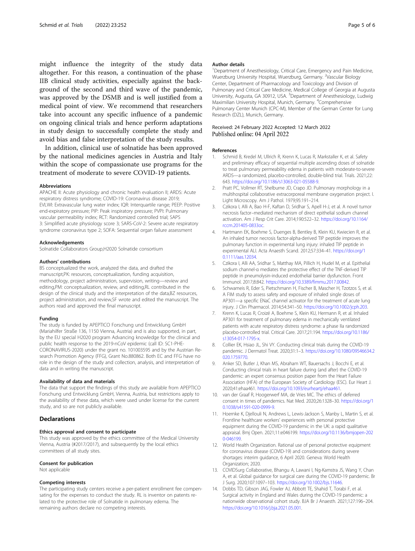<span id="page-4-0"></span>might influence the integrity of the study data altogether. For this reason, a continuation of the phase IIB clinical study activities, especially against the background of the second and third wave of the pandemic, was approved by the DSMB and is well justified from a medical point of view. We recommend that researchers take into account any specific influence of a pandemic on ongoing clinical trials and hence perform adaptations in study design to successfully complete the study and avoid bias and false interpretation of the study results.

In addition, clinical use of solnatide has been approved by the national medicines agencies in Austria and Italy within the scope of compassionate use programs for the treatment of moderate to severe COVID-19 patients.

#### Abbreviations

APACHE II: Acute physiology and chronic health evaluation II; ARDS: Acute respiratory distress syndrome; COVID-19: Coronavirus disease 2019; EVLWI: Extravascular lung water index; IQR: Interquartile range; PEEP: Positive end-expiratory pressure; PIP: Peak inspiratory pressure; PVPI: Pulmonary vascular permeability index; RCT: Randomized controlled trial; SAPS 3: Simplified acute physiology score 3; SARS-CoV-2: Severe acute respiratory syndrome coronavirus type 2; SOFA: Sequential organ failure assessment

### Acknowledgements

Solnatide Collaborators Group,H2020 Solnatide consortium

#### Authors' contributions

BS conceptualized the work, analyzed the data, and drafted the manuscript,PK: resources, conceptualization, funding acquisition, methodology, project administration, supervision, writing—review and editing,PM: conceptualization, review, and editing,RL contributed in the design of the clinical study and the interpretation of the data,BZ resources, project administration, and review,SF wrote and edited the manuscript. The authors read and approved the final manuscript.

## Funding

The study is funded by APEPTICO Forschung und Entwicklung GmbH (Mariahilfer Straße 136, 1150 Vienna, Austria) and is also supported, in part, by the EU special H2020 program Advancing knowledge for the clinical and public health response to the 2019-nCoV epidemic (call ID: SC1-PHE-CORONAVIRUS-2020) under the grant no. 101003595 and by the Austrian Research Promotion Agency (FFG), Grant No.880862. Both EC and FFG have no role in the design of the study and collection, analysis, and interpretation of data and in writing the manuscript.

#### Availability of data and materials

The data that support the findings of this study are available from APEPTICO Forschung und Entwicklung GmbH, Vienna, Austria, but restrictions apply to the availability of these data, which were used under license for the current study, and so are not publicly available.

### Ethics approval and consent to participate

This study was approved by the ethics committee of the Medical University Vienna, Austria (#2017/2017), and subsequently by the local ethics committees of all study sites.

#### Consent for publication

Not applicable

### Competing interests

The participating study centers receive a per-patient enrollment fee compensating for the expenses to conduct the study. RL is inventor on patents related to the protective role of Solnatide in pulmonary edema. The remaining authors declare no competing interests.

### Author details

<sup>1</sup>Department of Anesthesiology, Critical Care, Emergency and Pain Medicine Wuerzburg University Hospital, Wuerzburg, Germany. <sup>2</sup>Vascular Biology Center, Department of Pharmacology and Toxicology and Division of Pulmonary and Critical Care Medicine, Medical College of Georgia at Augusta University, Augusta, GA 30912, USA. <sup>3</sup>Department of Anesthesiology, Ludwig Maximilian University Hospital, Munich, Germany. <sup>4</sup>Comprehensive Pulmonary Center Munich (CPC-M), Member of the German Center for Lung Research (DZL), Munich, Germany.

### Received: 24 February 2022 Accepted: 12 March 2022 Published online: 04 April 2022

#### References

- 1. Schmid B, Kredel M, Ullrich R, Krenn K, Lucas R, Markstaller K, et al. Safety and preliminary efficacy of sequential multiple ascending doses of solnatide to treat pulmonary permeability edema in patients with moderate-to-severe ARDS—a randomized, placebo-controlled, double-blind trial. Trials. 2021;22: 643. <https://doi.org/10.1186/s13063-021-05588-9>.
- 2. Pratt PC, Vollmer RT, Shelburne JD, Crapo JD. Pulmonary morphology in a multihospital collaborative extracorporeal membrane oxygenation project. I. Light Microscopy. Am J Pathol. 1979;95:191–214.
- 3. Czikora I, Alli A, Bao H-F, Kaftan D, Sridhar S, Apell H-J, et al. A novel tumor necrosis factor–mediated mechanism of direct epithelial sodium channel activation. Am J Resp Crit Care. 2014;190:522–32. [https://doi.org/10.1164/](https://doi.org/10.1164/rccm.201405-0833oc) [rccm.201405-0833oc](https://doi.org/10.1164/rccm.201405-0833oc).
- 4. Hartmann EK, Boehme S, Duenges B, Bentley B, Klein KU, Kwiecien R, et al. An inhaled tumor necrosis factor-alpha-derived TIP peptide improves the pulmonary function in experimental lung injury: inhaled TIP peptide in experimental ALI. Acta Anaesth Scand. 2012;57:334–41. [https://doi.org/1](https://doi.org/10.1111/aas.12034) [0.1111/aas.12034.](https://doi.org/10.1111/aas.12034)
- 5. Czikora I, Alli AA, Sridhar S, Matthay MA, Pillich H, Hudel M, et al. Epithelial sodium channel-α mediates the protective effect of the TNF-derived TIP peptide in pneumolysin-induced endothelial barrier dysfunction. Front Immunol. 2017;8:842. [https://doi.org/10.3389/fimmu.2017.00842.](https://doi.org/10.3389/fimmu.2017.00842)
- Schwameis R, Eder S, Pietschmann H, Fischer B, Mascher H, Tzotzos S, et al. A FIM study to assess safety and exposure of inhaled single doses of AP301—a specific ENaC channel activator for the treatment of acute lung injury. J Clin Pharmacol. 2014;54:341–50. <https://doi.org/10.1002/jcph.203>.
- 7. Krenn K, Lucas R, Croizé A, Boehme S, Klein KU, Hermann R, et al. Inhaled AP301 for treatment of pulmonary edema in mechanically ventilated patients with acute respiratory distress syndrome: a phase IIa randomized placebo-controlled trial. Critical Care. 2017;21:194. [https://doi.org/10.1186/](https://doi.org/10.1186/s13054-017-1795-x) [s13054-017-1795-x.](https://doi.org/10.1186/s13054-017-1795-x)
- 8. Collier EK, Hsiao JL, Shi W. Conducting clinical trials during the COVID-19 pandemic. J Dermatol Treat. 2020;31:1–3. [https://doi.org/10.1080/09546634.2](https://doi.org/10.1080/09546634.2020.1759770) [020.1759770](https://doi.org/10.1080/09546634.2020.1759770).
- Anker SD, Butler J, Khan MS, Abraham WT, Bauersachs J, Bocchi E, et al. Conducting clinical trials in heart failure during (and after) the COVID-19 pandemic: an expert consensus position paper from the Heart Failure Association (HFA) of the European Society of Cardiology (ESC). Eur Heart J. 2020;41:ehaa461. <https://doi.org/10.1093/eurheartj/ehaa461>.
- 10. van der Graaf R, Hoogerwerf MA, de Vries MC. The ethics of deferred consent in times of pandemics. Nat Med. 2020;26:1328–30. [https://doi.org/1](https://doi.org/10.1038/s41591-020-0999-9) [0.1038/s41591-020-0999-9.](https://doi.org/10.1038/s41591-020-0999-9)
- 11. Hoernke K, Djellouli N, Andrews L, Lewis-Jackson S, Manby L, Martin S, et al. Frontline healthcare workers' experiences with personal protective equipment during the COVID-19 pandemic in the UK: a rapid qualitative appraisal. Bmj Open. 2021;11:e046199. [https://doi.org/10.1136/bmjopen-202](https://doi.org/10.1136/bmjopen-2020-046199) [0-046199.](https://doi.org/10.1136/bmjopen-2020-046199)
- 12. World Health Organization, Rational use of personal protective equipment for coronavirus disease (COVID-19) and considerations during severe shortages: interim guidance, 6 April 2020. Geneva: World Health Organization; 2020.
- 13. COVIDSurg Collaborative, Bhangu A, Lawani I, Ng-Kamstra JS, Wang Y, Chan A, et al. Global guidance for surgical care during the COVID-19 pandemic. Br J Surg. 2020;107:1097–103. [https://doi.org/10.1002/bjs.11646.](https://doi.org/10.1002/bjs.11646)
- 14. Dobbs TD, Gibson JAG, Fowler AJ, Abbott TE, Shahid T, Torabi F, et al. Surgical activity in England and Wales during the COVID-19 pandemic: a nationwide observational cohort study. BJA Br J Anaesth. 2021;127:196–204. <https://doi.org/10.1016/j.bja.2021.05.001>.